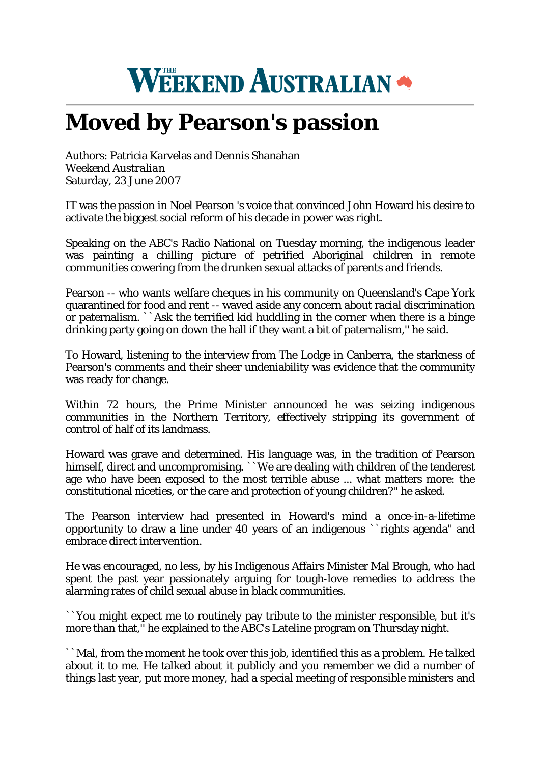## **WEEKEND AUSTRALIAN \***

## **Moved by Pearson's passion**

Authors: Patricia Karvelas and Dennis Shanahan *Weekend Australian* Saturday, 23 June 2007

IT was the passion in Noel Pearson 's voice that convinced John Howard his desire to activate the biggest social reform of his decade in power was right.

Speaking on the ABC's Radio National on Tuesday morning, the indigenous leader was painting a chilling picture of petrified Aboriginal children in remote communities cowering from the drunken sexual attacks of parents and friends.

Pearson -- who wants welfare cheques in his community on Queensland's Cape York quarantined for food and rent -- waved aside any concern about racial discrimination or paternalism. ``Ask the terrified kid huddling in the corner when there is a binge drinking party going on down the hall if they want a bit of paternalism,'' he said.

To Howard, listening to the interview from The Lodge in Canberra, the starkness of Pearson's comments and their sheer undeniability was evidence that the community was ready for change.

Within 72 hours, the Prime Minister announced he was seizing indigenous communities in the Northern Territory, effectively stripping its government of control of half of its landmass.

Howard was grave and determined. His language was, in the tradition of Pearson himself, direct and uncompromising. ``We are dealing with children of the tenderest age who have been exposed to the most terrible abuse ... what matters more: the constitutional niceties, or the care and protection of young children?'' he asked.

The Pearson interview had presented in Howard's mind a once-in-a-lifetime opportunity to draw a line under 40 years of an indigenous ``rights agenda'' and embrace direct intervention.

He was encouraged, no less, by his Indigenous Affairs Minister Mal Brough, who had spent the past year passionately arguing for tough-love remedies to address the alarming rates of child sexual abuse in black communities.

``You might expect me to routinely pay tribute to the minister responsible, but it's more than that,'' he explained to the ABC's Lateline program on Thursday night.

``Mal, from the moment he took over this job, identified this as a problem. He talked about it to me. He talked about it publicly and you remember we did a number of things last year, put more money, had a special meeting of responsible ministers and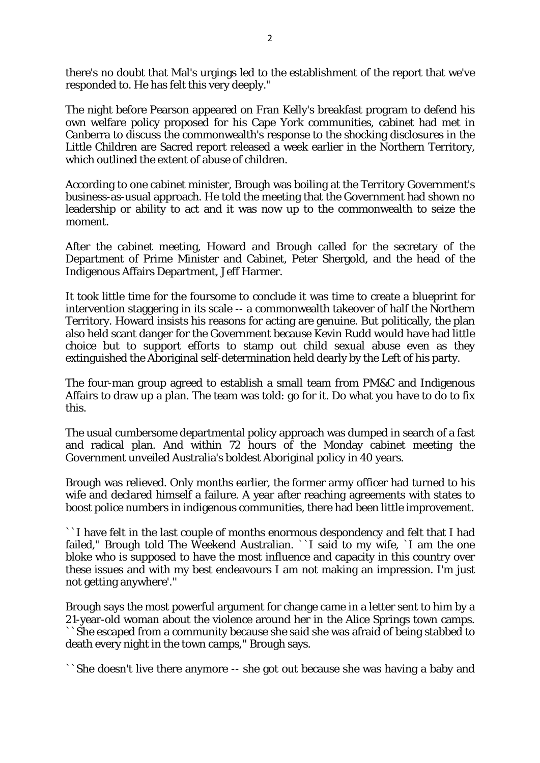there's no doubt that Mal's urgings led to the establishment of the report that we've responded to. He has felt this very deeply.''

The night before Pearson appeared on Fran Kelly's breakfast program to defend his own welfare policy proposed for his Cape York communities, cabinet had met in Canberra to discuss the commonwealth's response to the shocking disclosures in the Little Children are Sacred report released a week earlier in the Northern Territory, which outlined the extent of abuse of children.

According to one cabinet minister, Brough was boiling at the Territory Government's business-as-usual approach. He told the meeting that the Government had shown no leadership or ability to act and it was now up to the commonwealth to seize the moment.

After the cabinet meeting, Howard and Brough called for the secretary of the Department of Prime Minister and Cabinet, Peter Shergold, and the head of the Indigenous Affairs Department, Jeff Harmer.

It took little time for the foursome to conclude it was time to create a blueprint for intervention staggering in its scale -- a commonwealth takeover of half the Northern Territory. Howard insists his reasons for acting are genuine. But politically, the plan also held scant danger for the Government because Kevin Rudd would have had little choice but to support efforts to stamp out child sexual abuse even as they extinguished the Aboriginal self-determination held dearly by the Left of his party.

The four-man group agreed to establish a small team from PM&C and Indigenous Affairs to draw up a plan. The team was told: go for it. Do what you have to do to fix this.

The usual cumbersome departmental policy approach was dumped in search of a fast and radical plan. And within 72 hours of the Monday cabinet meeting the Government unveiled Australia's boldest Aboriginal policy in 40 years.

Brough was relieved. Only months earlier, the former army officer had turned to his wife and declared himself a failure. A year after reaching agreements with states to boost police numbers in indigenous communities, there had been little improvement.

``I have felt in the last couple of months enormous despondency and felt that I had failed,'' Brough told The Weekend Australian. ``I said to my wife, `I am the one bloke who is supposed to have the most influence and capacity in this country over these issues and with my best endeavours I am not making an impression. I'm just not getting anywhere'.''

Brough says the most powerful argument for change came in a letter sent to him by a 21-year-old woman about the violence around her in the Alice Springs town camps. ``She escaped from a community because she said she was afraid of being stabbed to death every night in the town camps,'' Brough says.

``She doesn't live there anymore -- she got out because she was having a baby and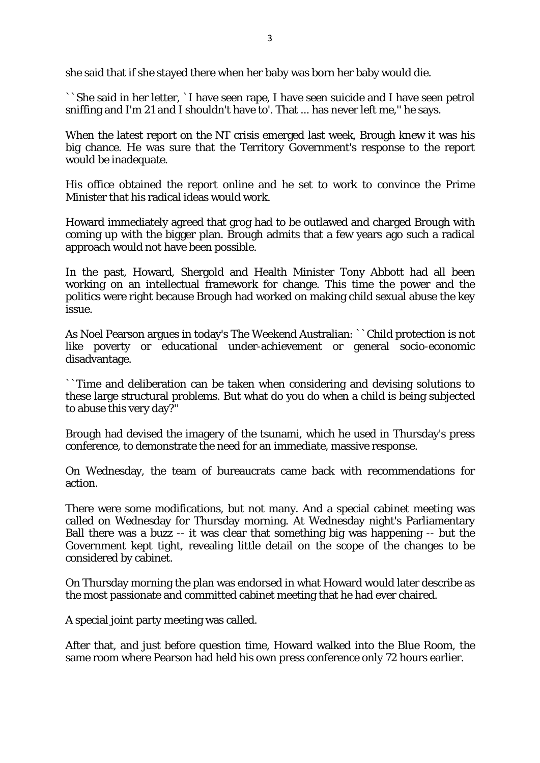she said that if she stayed there when her baby was born her baby would die.

``She said in her letter, `I have seen rape, I have seen suicide and I have seen petrol sniffing and I'm 21 and I shouldn't have to'. That ... has never left me,'' he says.

When the latest report on the NT crisis emerged last week, Brough knew it was his big chance. He was sure that the Territory Government's response to the report would be inadequate.

His office obtained the report online and he set to work to convince the Prime Minister that his radical ideas would work.

Howard immediately agreed that grog had to be outlawed and charged Brough with coming up with the bigger plan. Brough admits that a few years ago such a radical approach would not have been possible.

In the past, Howard, Shergold and Health Minister Tony Abbott had all been working on an intellectual framework for change. This time the power and the politics were right because Brough had worked on making child sexual abuse the key issue.

As Noel Pearson argues in today's The Weekend Australian: ``Child protection is not like poverty or educational under-achievement or general socio-economic disadvantage.

``Time and deliberation can be taken when considering and devising solutions to these large structural problems. But what do you do when a child is being subjected to abuse this very day?''

Brough had devised the imagery of the tsunami, which he used in Thursday's press conference, to demonstrate the need for an immediate, massive response.

On Wednesday, the team of bureaucrats came back with recommendations for action.

There were some modifications, but not many. And a special cabinet meeting was called on Wednesday for Thursday morning. At Wednesday night's Parliamentary Ball there was a buzz -- it was clear that something big was happening -- but the Government kept tight, revealing little detail on the scope of the changes to be considered by cabinet.

On Thursday morning the plan was endorsed in what Howard would later describe as the most passionate and committed cabinet meeting that he had ever chaired.

A special joint party meeting was called.

After that, and just before question time, Howard walked into the Blue Room, the same room where Pearson had held his own press conference only 72 hours earlier.